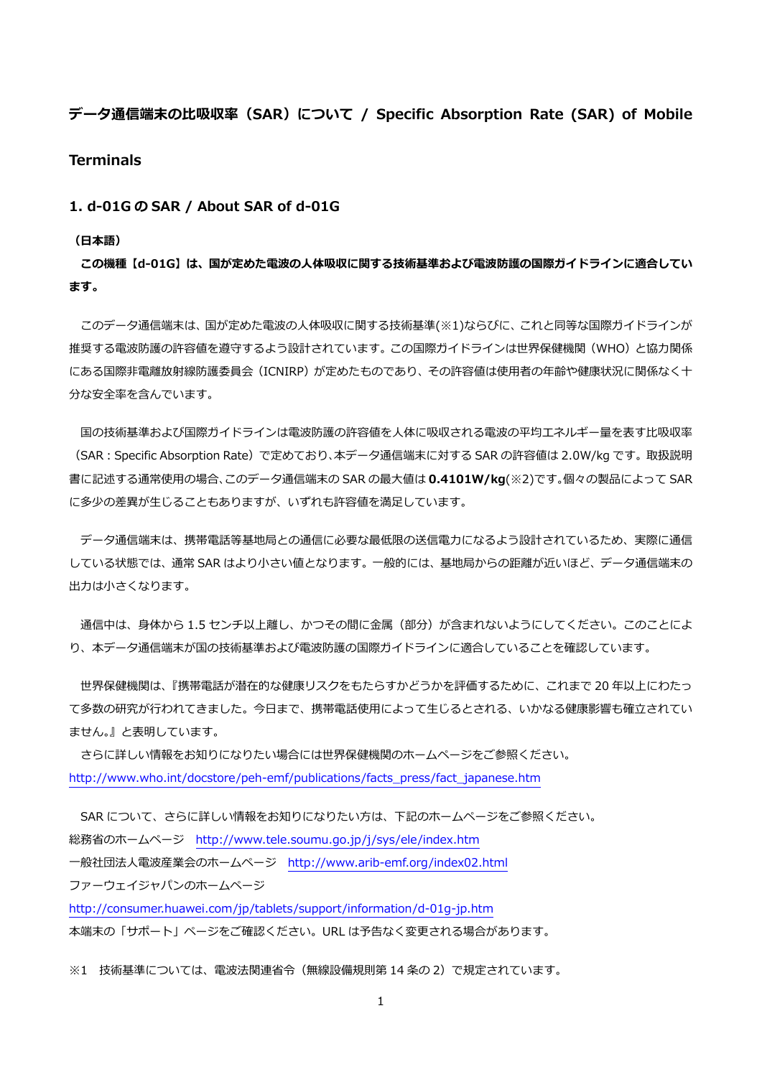# **データ通信端末の⽐吸収率(SAR)について / Specific Absorption Rate (SAR) of Mobile Terminals**

### **1. d-01G の SAR / About SAR of d-01G**

#### **(⽇本語)**

**この機種【d-01G】は、国が定めた電波の⼈体吸収に関する技術基準および電波防護の国際ガイドラインに適合してい ます。** 

このデータ通信端末は、国が定めた電波の人体吸収に関する技術基準(※1)ならびに、これと同等な国際ガイドラインが 推奨する電波防護の許容値を遵守するよう設計されています。この国際ガイドラインは世界保健機関(WHO)と協力関係 にある国際非電離放射線防護委員会(ICNIRP)が定めたものであり、その許容値は使用者の年齢や健康状況に関係なく十 分な安全率を含んでいます。

国の技術基準および国際ガイドラインは電波防護の許容値を人体に吸収される電波の平均エネルギー量を表す比吸収率 (SAR:Specific Absorption Rate)で定めており、本データ通信端末に対する SAR の許容値は 2.0W/kg です。取扱説明 書に記述する通常使⽤の場合、このデータ通信端末の SAR の最⼤値は **0.4101W/kg**(※2)です。個々の製品によって SAR に多少の差異が生じることもありますが、いずれも許容値を満足しています。

 データ通信端末は、携帯電話等基地局との通信に必要な最低限の送信電⼒になるよう設計されているため、実際に通信 している状態では、通常 SAR はより⼩さい値となります。⼀般的には、基地局からの距離が近いほど、データ通信端末の 出力は小さくなります。

通信中は、身体から 1.5 センチ以上離し、かつその間に金属 (部分) が含まれないようにしてください。このことによ り、本データ通信端末が国の技術基準および電波防護の国際ガイドラインに適合していることを確認しています。

世界保健機関は、『携帯電話が潜在的な健康リスクをもたらすかどうかを評価するために、これまで 20 年以上にわたっ て多数の研究が行われてきました。今日まで、携帯電話使用によって生じるとされる、いかなる健康影響も確立されてい ません。』と表明しています。

 さらに詳しい情報をお知りになりたい場合には世界保健機関のホームページをご参照ください。 http://www.who.int/docstore/peh-emf/publications/facts\_press/fact\_japanese.htm

SAR について、さらに詳しい情報をお知りになりたい方は、下記のホームページをご参照ください。 総務省のホームページ http://www.tele.soumu.go.jp/j/sys/ele/index.htm ⼀般社団法⼈電波産業会のホームページ http://www.arib-emf.org/index02.html ファーウェイジャパンのホームページ http://consumer.huawei.com/jp/tablets/support/information/d-01g-jp.htm 本端末の「サポート」ページをご確認ください。URL は予告なく変更される場合があります。

※1 技術基準については、電波法関連省令(無線設備規則第14条の2)で規定されています。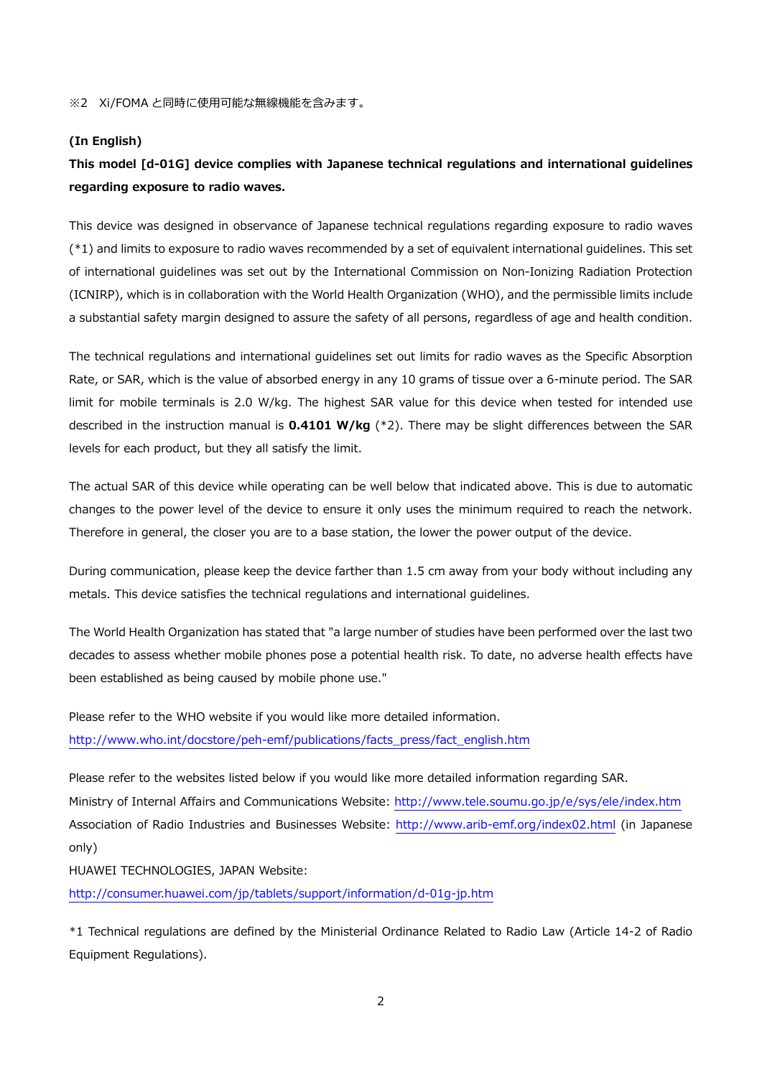※2 Xi/FOMA と同時に使用可能な無線機能を含みます。

### **(In English)**

# **This model [d-01G] device complies with Japanese technical regulations and international guidelines regarding exposure to radio waves.**

This device was designed in observance of Japanese technical regulations regarding exposure to radio waves (\*1) and limits to exposure to radio waves recommended by a set of equivalent international guidelines. This set of international guidelines was set out by the International Commission on Non-Ionizing Radiation Protection (ICNIRP), which is in collaboration with the World Health Organization (WHO), and the permissible limits include a substantial safety margin designed to assure the safety of all persons, regardless of age and health condition.

The technical regulations and international guidelines set out limits for radio waves as the Specific Absorption Rate, or SAR, which is the value of absorbed energy in any 10 grams of tissue over a 6-minute period. The SAR limit for mobile terminals is 2.0 W/kg. The highest SAR value for this device when tested for intended use described in the instruction manual is **0.4101 W/kg** (\*2). There may be slight differences between the SAR levels for each product, but they all satisfy the limit.

The actual SAR of this device while operating can be well below that indicated above. This is due to automatic changes to the power level of the device to ensure it only uses the minimum required to reach the network. Therefore in general, the closer you are to a base station, the lower the power output of the device.

During communication, please keep the device farther than 1.5 cm away from your body without including any metals. This device satisfies the technical regulations and international guidelines.

The World Health Organization has stated that "a large number of studies have been performed over the last two decades to assess whether mobile phones pose a potential health risk. To date, no adverse health effects have been established as being caused by mobile phone use."

Please refer to the WHO website if you would like more detailed information. http://www.who.int/docstore/peh-emf/publications/facts\_press/fact\_english.htm

Please refer to the websites listed below if you would like more detailed information regarding SAR. Ministry of Internal Affairs and Communications Website: http://www.tele.soumu.go.jp/e/sys/ele/index.htm Association of Radio Industries and Businesses Website: http://www.arib-emf.org/index02.html (in Japanese only)

HUAWEI TECHNOLOGIES, JAPAN Website:

http://consumer.huawei.com/jp/tablets/support/information/d-01g-jp.htm

\*1 Technical regulations are defined by the Ministerial Ordinance Related to Radio Law (Article 14-2 of Radio Equipment Regulations).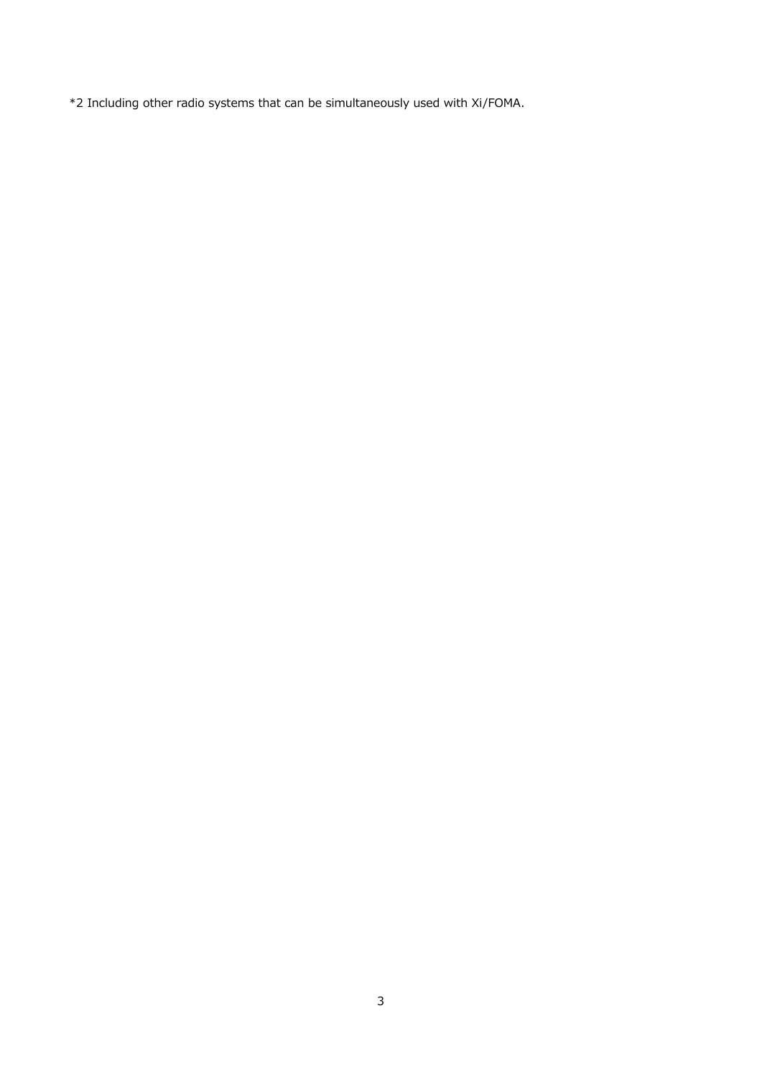\*2 Including other radio systems that can be simultaneously used with Xi/FOMA.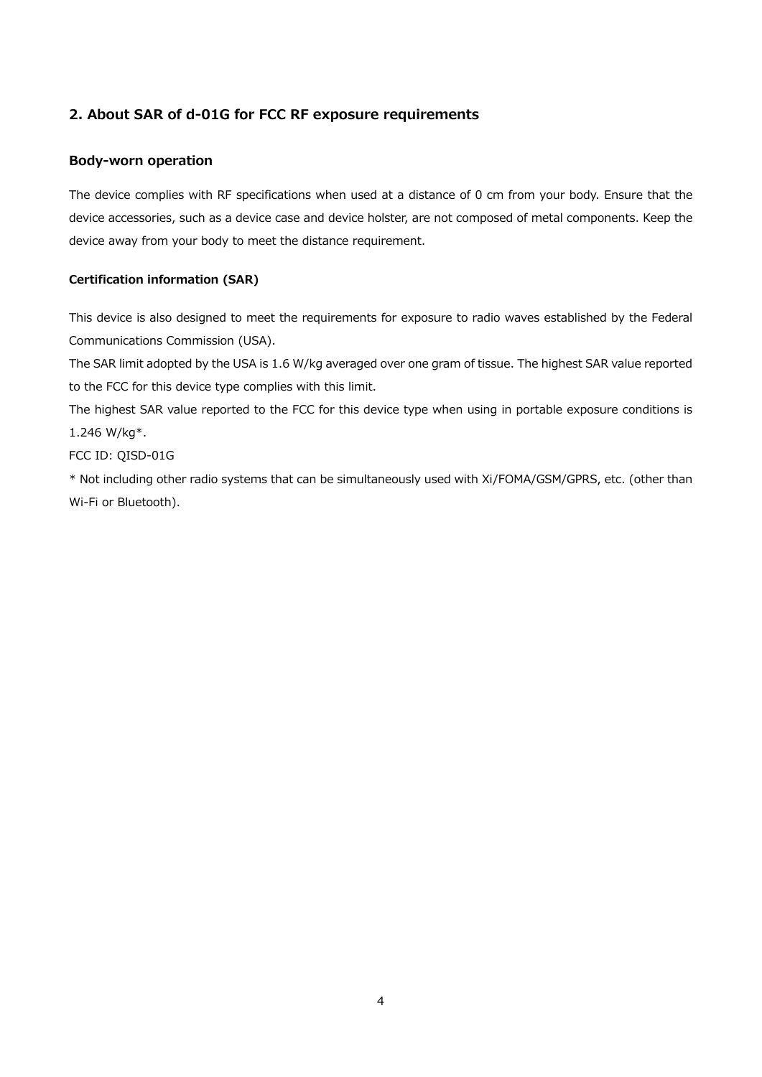# **2. About SAR of d-01G for FCC RF exposure requirements**

# **Body-worn operation**

The device complies with RF specifications when used at a distance of 0 cm from your body. Ensure that the device accessories, such as a device case and device holster, are not composed of metal components. Keep the device away from your body to meet the distance requirement.

# **Certification information (SAR)**

This device is also designed to meet the requirements for exposure to radio waves established by the Federal Communications Commission (USA).

The SAR limit adopted by the USA is 1.6 W/kg averaged over one gram of tissue. The highest SAR value reported to the FCC for this device type complies with this limit.

The highest SAR value reported to the FCC for this device type when using in portable exposure conditions is 1.246 W/kg\*.

FCC ID: QISD-01G

\* Not including other radio systems that can be simultaneously used with Xi/FOMA/GSM/GPRS, etc. (other than Wi-Fi or Bluetooth).